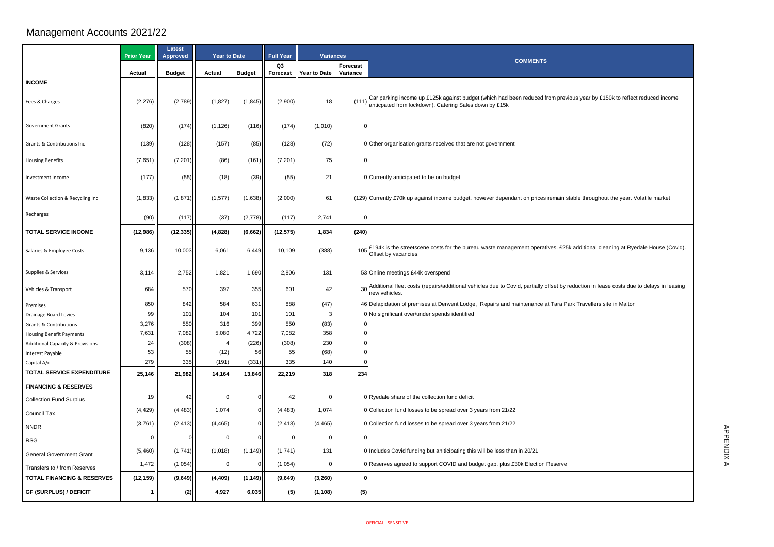## Management Accounts 2021/22

|                                             | <b>Prior Year</b> | <b>Latest</b><br><b>Approved</b> | <b>Year to Date</b> |               | <b>Full Year</b> | <b>Variances</b> |          |                                                                                                                          |
|---------------------------------------------|-------------------|----------------------------------|---------------------|---------------|------------------|------------------|----------|--------------------------------------------------------------------------------------------------------------------------|
|                                             |                   |                                  |                     |               | Q3               | <b>Forecast</b>  |          |                                                                                                                          |
|                                             | <b>Actual</b>     | <b>Budget</b>                    | <b>Actual</b>       | <b>Budget</b> | <b>Forecast</b>  | Year to Date     | Variance |                                                                                                                          |
| <b>INCOME</b>                               |                   |                                  |                     |               |                  |                  |          |                                                                                                                          |
| Fees & Charges                              | (2, 276)          | (2,789)                          | (1,827)             | (1, 845)      | (2,900)          | 18               |          | (111) Car parking income up £125k against budget (which had be<br>anticpated from lockdown). Catering Sales down by £15k |
| <b>Government Grants</b>                    | (820)             | (174)                            | (1, 126)            | (116)         | (174)            | (1,010)          |          |                                                                                                                          |
| <b>Grants &amp; Contributions Inc</b>       | (139)             | (128)                            | (157)               | (85)          | (128)            | (72)             |          | 0 Other organisation grants received that are not government                                                             |
| <b>Housing Benefits</b>                     | (7,651)           | (7,201)                          | (86)                | (161)         | (7,201)          | 75               |          |                                                                                                                          |
| Investment Income                           | (177)             | (55)                             | (18)                | (39)          | (55)             | 21               |          | 0 Currently anticipated to be on budget                                                                                  |
| Waste Collection & Recycling Inc            | (1, 833)          | (1,871)                          | (1, 577)            | (1,638)       | (2,000)          | 61               |          | (129) Currently £70k up against income budget, however dependa                                                           |
| Recharges                                   | (90)              | (117)                            | (37)                | (2,778)       | (117)            | 2,741            |          |                                                                                                                          |
| <b>TOTAL SERVICE INCOME</b>                 | (12,986)          | (12, 335)                        | (4,828)             | (6,662)       | (12, 575)        | 1,834            | (240)    |                                                                                                                          |
|                                             |                   |                                  |                     |               |                  |                  |          |                                                                                                                          |
| Salaries & Employee Costs                   | 9,136             | 10,003                           | 6,061               | 6,449         | 10,109           | (388)            | 105      | £194k is the streetscene costs for the bureau waste manage<br>Offset by vacancies.                                       |
|                                             |                   |                                  |                     |               |                  |                  |          |                                                                                                                          |
| Supplies & Services                         | 3,114             | 2,752                            | 1,821               | 1,690         | 2,806            | 131              |          | 53 Online meetings £44k overspend                                                                                        |
| <b>Vehicles &amp; Transport</b>             | 684               | 570                              | 397                 | 355           | 601              | 42               |          | Additional fleet costs (repairs/additional vehicles due to Cov<br>new vehicles.                                          |
| Premises                                    | 850               | 842                              | 584                 | 631           | 888              | (47)             |          | 46 Delapidation of premises at Derwent Lodge, Repairs and m                                                              |
| <b>Drainage Board Levies</b>                | 99                | 101                              | 104                 | 101           | 101              |                  |          | 0 No significant over/under spends identified                                                                            |
| <b>Grants &amp; Contributions</b>           | 3,276             | 550                              | 316                 | 399           | 550              | (83)             |          |                                                                                                                          |
| <b>Housing Benefit Payments</b>             | 7,631             | 7,082                            | 5,080               | 4,722         | 7,082            | 358              |          |                                                                                                                          |
| <b>Additional Capacity &amp; Provisions</b> | 24                | (308)                            | 4                   | (226)         | (308)            | 230              |          |                                                                                                                          |
| Interest Payable                            | 53<br>279         | 55<br>335                        | (12)<br>(191)       | 56<br>(331)   | 55<br>335        | (68)<br>140      |          |                                                                                                                          |
| Capital A/c<br>TOTAL SERVICE EXPENDITURE    |                   |                                  |                     |               |                  |                  |          |                                                                                                                          |
|                                             | 25,146            | 21,982                           | 14,164              | 13,846        | 22,219           | 318              | 234      |                                                                                                                          |
| <b>FINANCING &amp; RESERVES</b>             |                   |                                  |                     |               |                  |                  |          |                                                                                                                          |
| <b>Collection Fund Surplus</b>              | 19                | 42                               | $\mathbf 0$         |               | 42               |                  |          | 0 Ryedale share of the collection fund deficit                                                                           |
| <b>Council Tax</b>                          | (4, 429)          | (4, 483)                         | 1,074               |               | (4, 483)         | 1,074            |          | 0 Collection fund losses to be spread over 3 years from 21/22                                                            |
| <b>NNDR</b>                                 | (3,761)           | (2, 413)                         | (4, 465)            |               | (2, 413)         | (4, 465)         |          | 0 Collection fund losses to be spread over 3 years from 21/22                                                            |
| <b>RSG</b>                                  |                   |                                  | $\mathbf 0$         |               |                  |                  |          |                                                                                                                          |
| <b>General Government Grant</b>             | (5,460)           | (1,741)                          | (1,018)             | (1, 149)      | (1,741)          | 131              |          | 0 Includes Covid funding but aniticipating this will be less that                                                        |
| Transfers to / from Reserves                | 1,472             | (1,054)                          | $\mathbf 0$         |               | (1,054)          |                  |          | 0 Reserves agreed to support COVID and budget gap, plus £                                                                |
| <b>TOTAL FINANCING &amp; RESERVES</b>       | (12, 159)         | (9,649)                          | (4, 409)            | (1, 149)      | (9,649)          | (3, 260)         |          |                                                                                                                          |
|                                             |                   |                                  |                     |               |                  |                  |          |                                                                                                                          |
| <b>GF (SURPLUS) / DEFICIT</b>               |                   | (2)                              | 4,927               | 6,035         | (5)              | (1, 108)         | (5)      |                                                                                                                          |

## **COMMENTS**

against budget (which had been reduced from previous year by £150k to reflect reduced income atering Sales down by £15k

ome budget, however dependant on prices remain stable throughout the year. Volatile market

s for the bureau waste management operatives. £25k additional cleaning at Ryedale House (Covid).

additional vehicles due to Covid, partially offset by reduction in lease costs due to delays in leasing

erwent Lodge, Repairs and maintenance at Tara Park Travellers site in Malton

iticipating this will be less than in 20/21

COVID and budget gap, plus £30k Election Reserve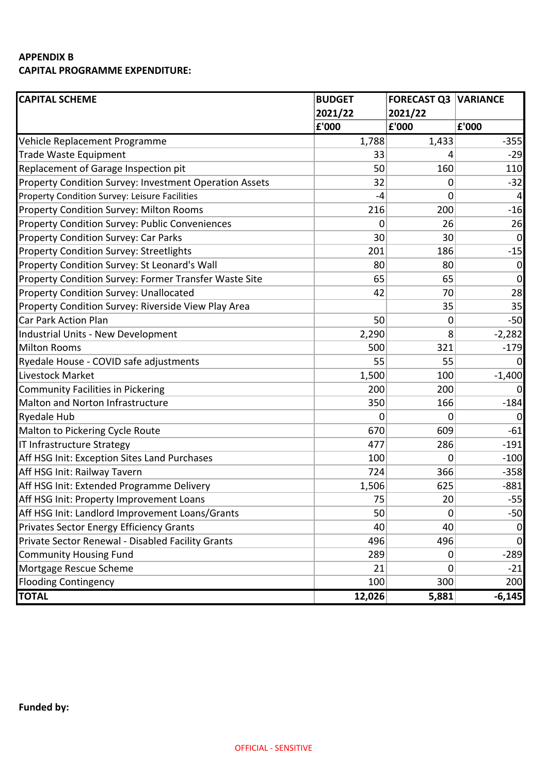## **APPENDIX B CAPITAL PROGRAMME EXPENDITURE:**

| <b>CAPITAL SCHEME</b>                                  | <b>BUDGET</b> | <b>FORECAST Q3 VARIANCE</b> |                |
|--------------------------------------------------------|---------------|-----------------------------|----------------|
|                                                        | 2021/22       | 2021/22                     |                |
|                                                        | £'000         | £'000                       | £'000          |
| Vehicle Replacement Programme                          | 1,788         | 1,433                       | $-355$         |
| <b>Trade Waste Equipment</b>                           | 33            | 4                           | $-29$          |
| Replacement of Garage Inspection pit                   | 50            | 160                         | 110            |
| Property Condition Survey: Investment Operation Assets | 32            | 0                           | $-32$          |
| Property Condition Survey: Leisure Facilities          | -4            | 0                           |                |
| <b>Property Condition Survey: Milton Rooms</b>         | 216           | 200                         | $-16$          |
| <b>Property Condition Survey: Public Conveniences</b>  | 0             | 26                          | 26             |
| <b>Property Condition Survey: Car Parks</b>            | 30            | 30                          | $\overline{0}$ |
| <b>Property Condition Survey: Streetlights</b>         | 201           | 186                         | $-15$          |
| Property Condition Survey: St Leonard's Wall           | 80            | 80                          | $\mathbf 0$    |
| Property Condition Survey: Former Transfer Waste Site  | 65            | 65                          | $\mathbf 0$    |
| <b>Property Condition Survey: Unallocated</b>          | 42            | 70                          | 28             |
| Property Condition Survey: Riverside View Play Area    |               | 35                          | 35             |
| <b>Car Park Action Plan</b>                            | 50            | 0                           | $-50$          |
| Industrial Units - New Development                     | 2,290         | 8                           | $-2,282$       |
| <b>Milton Rooms</b>                                    | 500           | 321                         | $-179$         |
| Ryedale House - COVID safe adjustments                 | 55            | 55                          |                |
| Livestock Market                                       | 1,500         | 100                         | $-1,400$       |
| Community Facilities in Pickering                      | 200           | 200                         | 0              |
| <b>Malton and Norton Infrastructure</b>                | 350           | 166                         | $-184$         |
| <b>Ryedale Hub</b>                                     | 0             | 0                           | 0              |
| Malton to Pickering Cycle Route                        | 670           | 609                         | $-61$          |
| IT Infrastructure Strategy                             | 477           | 286                         | $-191$         |
| Aff HSG Init: Exception Sites Land Purchases           | 100           | 0                           | $-100$         |
| Aff HSG Init: Railway Tavern                           | 724           | 366                         | $-358$         |
| Aff HSG Init: Extended Programme Delivery              | 1,506         | 625                         | $-881$         |
| Aff HSG Init: Property Improvement Loans               | 75            | 20                          | $-55$          |
| Aff HSG Init: Landlord Improvement Loans/Grants        | 50            | $\mathbf 0$                 | $-50$          |
| Privates Sector Energy Efficiency Grants               | 40            | 40                          | $\overline{0}$ |
| Private Sector Renewal - Disabled Facility Grants      | 496           | 496                         | $\Omega$       |
| <b>Community Housing Fund</b>                          | 289           | 0                           | $-289$         |
| Mortgage Rescue Scheme                                 | 21            | 0                           | $-21$          |
| <b>Flooding Contingency</b>                            | 100           | 300                         | 200            |
| <b>TOTAL</b>                                           | 12,026        | 5,881                       | $-6,145$       |